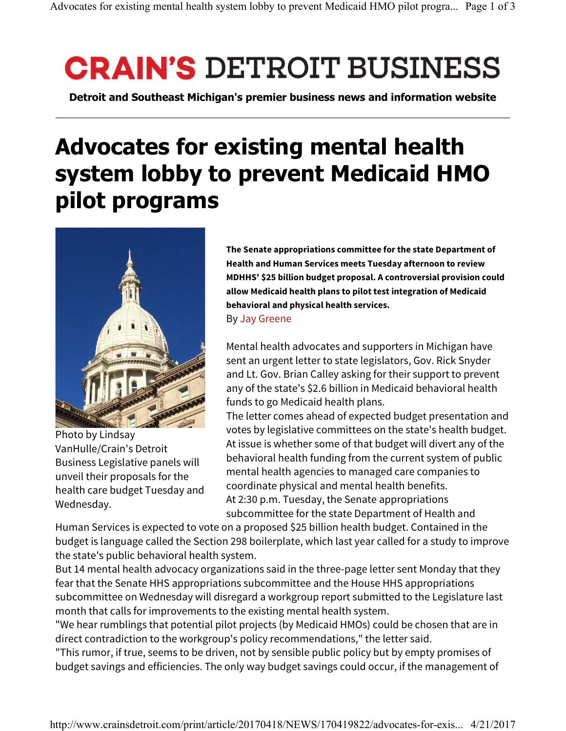## **CRAIN'S DETROIT BUSINESS**

**Detroit and Southeast Michigan's premier business news and information website**

## **Advocates for existing mental health system lobby to prevent Medicaid HMO pilot programs**



Photo by Lindsay VanHulle/Crain's Detroit Business Legislative panels will unveil their proposals for the health care budget Tuesday and Wednesday.

**The Senate appropriations committee for the state Department of Health and Human Services meets Tuesday afternoon to review MDHHS' \$25 billion budget proposal. A controversial provision could allow Medicaid health plans to pilot test integration of Medicaid behavioral and physical health services.**

## By Jay Greene

Mental health advocates and supporters in Michigan have sent an urgent letter to state legislators, Gov. Rick Snyder and Lt. Gov. Brian Calley asking for their support to prevent any of the state's \$2.6 billion in Medicaid behavioral health funds to go Medicaid health plans.

The letter comes ahead of expected budget presentation and votes by legislative committees on the state's health budget. At issue is whether some of that budget will divert any of the behavioral health funding from the current system of public mental health agencies to managed care companies to coordinate physical and mental health benefits. At 2:30 p.m. Tuesday, the Senate appropriations subcommittee for the state Department of Health and

Human Services is expected to vote on a proposed \$25 billion health budget. Contained in the budget is language called the Section 298 boilerplate, which last year called for a study to improve the state's public behavioral health system.

But 14 mental health advocacy organizations said in the three-page letter sent Monday that they fear that the Senate HHS appropriations subcommittee and the House HHS appropriations subcommittee on Wednesday will disregard a workgroup report submitted to the Legislature last month that calls for improvements to the existing mental health system.

"We hear rumblings that potential pilot projects (by Medicaid HMOs) could be chosen that are in direct contradiction to the workgroup's policy recommendations," the letter said.

"This rumor, if true, seems to be driven, not by sensible public policy but by empty promises of budget savings and efficiencies. The only way budget savings could occur, if the management of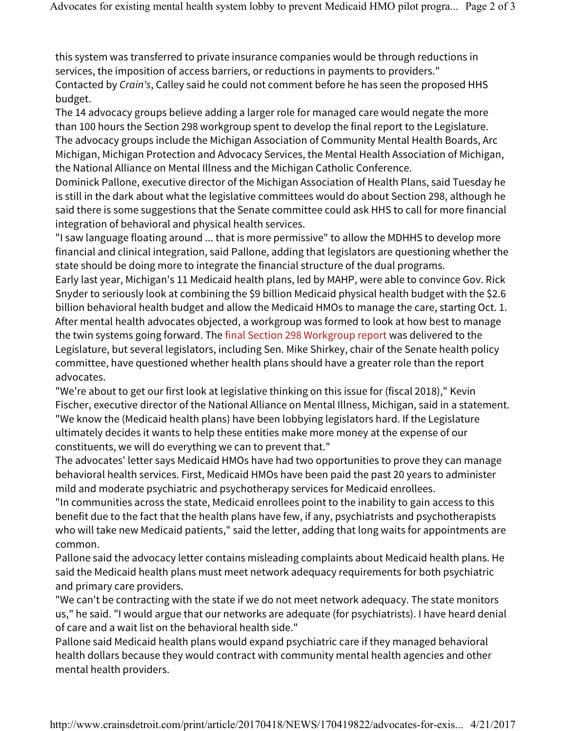this system was transferred to private insurance companies would be through reductions in services, the imposition of access barriers, or reductions in payments to providers." Contacted by Crain's, Calley said he could not comment before he has seen the proposed HHS budget.

The 14 advocacy groups believe adding a larger role for managed care would negate the more than 100 hours the Section 298 workgroup spent to develop the final report to the Legislature. The advocacy groups include the Michigan Association of Community Mental Health Boards, Arc Michigan, Michigan Protection and Advocacy Services, the Mental Health Association of Michigan, the National Alliance on Mental Illness and the Michigan Catholic Conference.

Dominick Pallone, executive director of the Michigan Association of Health Plans, said Tuesday he is still in the dark about what the legislative committees would do about Section 298, although he said there is some suggestions that the Senate committee could ask HHS to call for more financial integration of behavioral and physical health services.

"I saw language floating around ... that is more permissive" to allow the MDHHS to develop more financial and clinical integration, said Pallone, adding that legislators are questioning whether the state should be doing more to integrate the financial structure of the dual programs.

Early last year, Michigan's 11 Medicaid health plans, led by MAHP, were able to convince Gov. Rick Snyder to seriously look at combining the \$9 billion Medicaid physical health budget with the \$2.6 billion behavioral health budget and allow the Medicaid HMOs to manage the care, starting Oct. 1. After mental health advocates objected, a workgroup was formed to look at how best to manage the twin systems going forward. The final Section 298 Workgroup report was delivered to the Legislature, but several legislators, including Sen. Mike Shirkey, chair of the Senate health policy committee, have questioned whether health plans should have a greater role than the report advocates.

"We're about to get our first look at legislative thinking on this issue for (fiscal 2018)," Kevin Fischer, executive director of the National Alliance on Mental Illness, Michigan, said in a statement. "We know the (Medicaid health plans) have been lobbying legislators hard. If the Legislature ultimately decides it wants to help these entities make more money at the expense of our constituents, we will do everything we can to prevent that."

The advocates' letter says Medicaid HMOs have had two opportunities to prove they can manage behavioral health services. First, Medicaid HMOs have been paid the past 20 years to administer mild and moderate psychiatric and psychotherapy services for Medicaid enrollees.

"In communities across the state, Medicaid enrollees point to the inability to gain access to this benefit due to the fact that the health plans have few, if any, psychiatrists and psychotherapists who will take new Medicaid patients," said the letter, adding that long waits for appointments are common.

Pallone said the advocacy letter contains misleading complaints about Medicaid health plans. He said the Medicaid health plans must meet network adequacy requirements for both psychiatric and primary care providers.

"We can't be contracting with the state if we do not meet network adequacy. The state monitors us," he said. "I would argue that our networks are adequate (for psychiatrists). I have heard denial of care and a wait list on the behavioral health side."

Pallone said Medicaid health plans would expand psychiatric care if they managed behavioral health dollars because they would contract with community mental health agencies and other mental health providers.